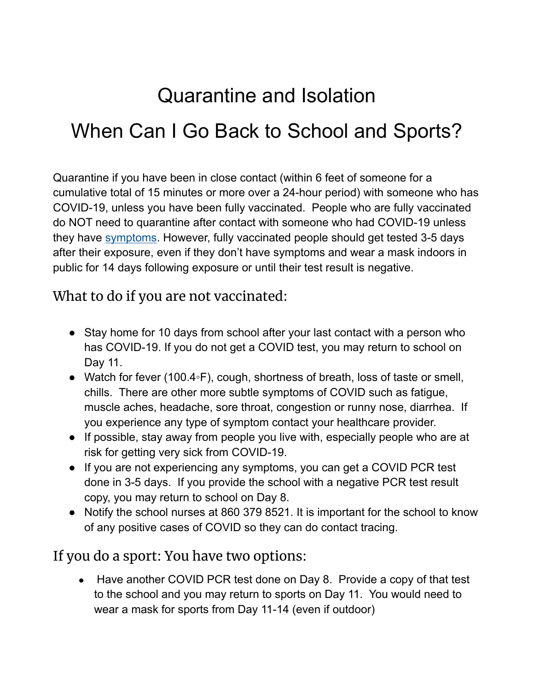# Quarantine and Isolation When Can I Go Back to School and Sports?

Quarantine if you have been in close contact (within 6 feet of someone for a cumulative total of 15 minutes or more over a 24-hour period) with someone who has COVID-19, unless you have been fully vaccinated. People who are fully vaccinated do NOT need to quarantine after contact with someone who had COVID-19 unless they have [symptoms.](https://www.cdc.gov/coronavirus/2019-ncov/symptoms-testing/symptoms.html) However, fully vaccinated people should get tested 3-5 days after their exposure, even if they don't have symptoms and wear a mask indoors in public for 14 days following exposure or until their test result is negative.

#### What to do if you are not vaccinated:

- Stay home for 10 days from school after your last contact with a person who has COVID-19. If you do not get a COVID test, you may return to school on Day 11.
- Watch for fever (100.4◦F), cough, shortness of breath, loss of taste or smell, chills. There are other more subtle symptoms of COVID such as fatigue, muscle aches, headache, sore throat, congestion or runny nose, diarrhea. If you experience any type of symptom contact your healthcare provider.
- If possible, stay away from people you live with, especially people who are at risk for getting very sick from COVID-19.
- If you are not experiencing any symptoms, you can get a COVID PCR test done in 3-5 days. If you provide the school with a negative PCR test result copy, you may return to school on Day 8.
- Notify the school nurses at 860 379 8521. It is important for the school to know of any positive cases of COVID so they can do contact tracing.

#### If you do a sport: You have two options:

• Have another COVID PCR test done on Day 8. Provide a copy of that test to the school and you may return to sports on Day 11. You would need to wear a mask for sports from Day 11-14 (even if outdoor)